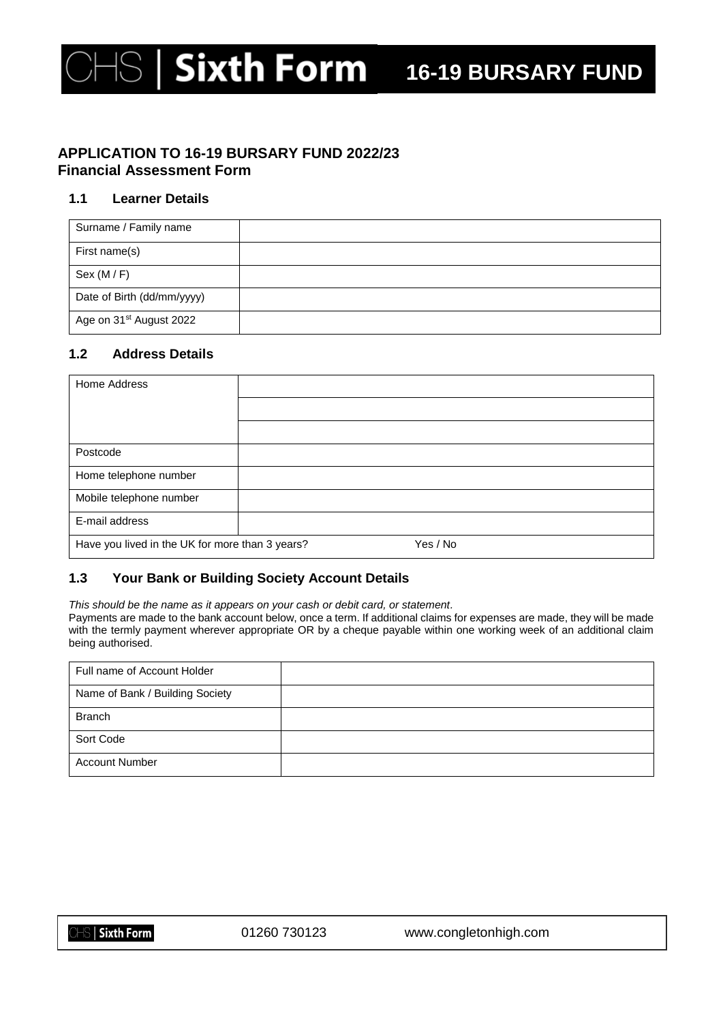# Sixth Form 16-19 BURSARY FUND

## **APPLICATION TO 16-19 BURSARY FUND 2022/23 Financial Assessment Form**

#### **1.1 Learner Details**

| Surname / Family name               |  |
|-------------------------------------|--|
| First name(s)                       |  |
| Sex (M/F)                           |  |
| Date of Birth (dd/mm/yyyy)          |  |
| Age on 31 <sup>st</sup> August 2022 |  |

## **1.2 Address Details**

| Home Address                                                |  |  |
|-------------------------------------------------------------|--|--|
|                                                             |  |  |
|                                                             |  |  |
| Postcode                                                    |  |  |
| Home telephone number                                       |  |  |
| Mobile telephone number                                     |  |  |
| E-mail address                                              |  |  |
| Have you lived in the UK for more than 3 years?<br>Yes / No |  |  |

## **1.3 Your Bank or Building Society Account Details**

*This should be the name as it appears on your cash or debit card, or statement.* Payments are made to the bank account below, once a term. If additional claims for expenses are made, they will be made with the termly payment wherever appropriate OR by a cheque payable within one working week of an additional claim being authorised.

| Full name of Account Holder     |  |
|---------------------------------|--|
| Name of Bank / Building Society |  |
| <b>Branch</b>                   |  |
| Sort Code                       |  |
| <b>Account Number</b>           |  |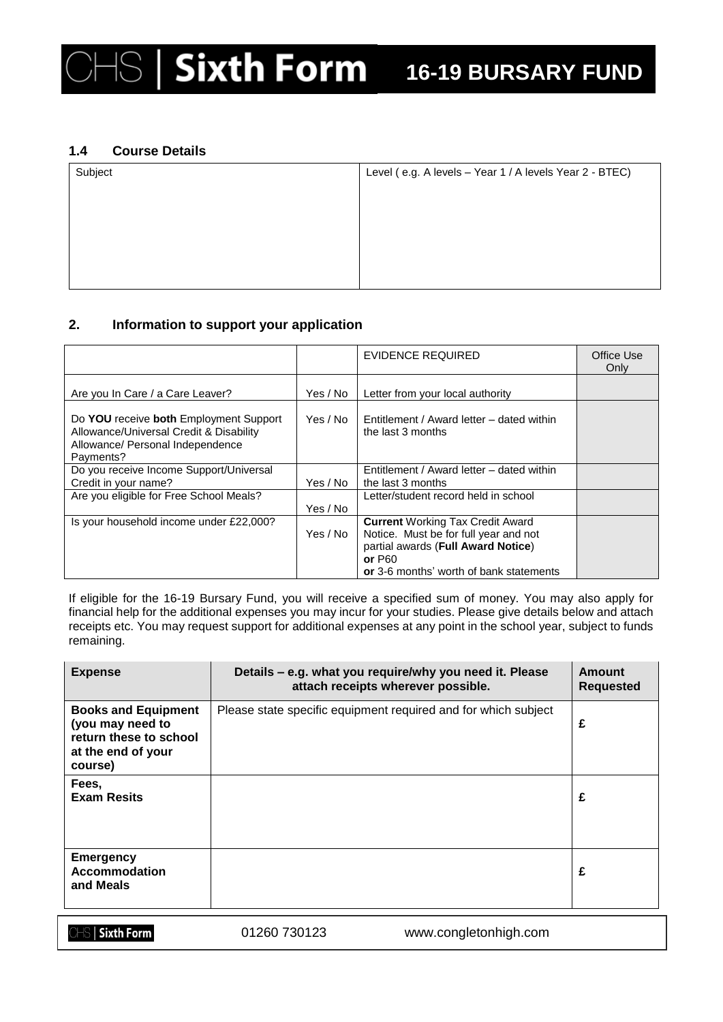### **1.4 Course Details**

| Subject | Level (e.g. A levels - Year 1 / A levels Year 2 - BTEC) |  |  |
|---------|---------------------------------------------------------|--|--|
|         |                                                         |  |  |
|         |                                                         |  |  |
|         |                                                         |  |  |
|         |                                                         |  |  |
|         |                                                         |  |  |

#### **2. Information to support your application**

|                                                                                                                                    |          | EVIDENCE REQUIRED                                              | Office Use<br>Only |
|------------------------------------------------------------------------------------------------------------------------------------|----------|----------------------------------------------------------------|--------------------|
| Are you In Care / a Care Leaver?                                                                                                   | Yes / No | Letter from your local authority                               |                    |
| Do YOU receive both Employment Support<br>Allowance/Universal Credit & Disability<br>Allowance/ Personal Independence<br>Payments? | Yes / No | Entitlement / Award letter - dated within<br>the last 3 months |                    |
| Do you receive Income Support/Universal                                                                                            |          | Entitlement / Award letter – dated within                      |                    |
| Credit in your name?                                                                                                               | Yes / No | the last 3 months                                              |                    |
| Are you eligible for Free School Meals?                                                                                            |          | Letter/student record held in school                           |                    |
|                                                                                                                                    | Yes / No |                                                                |                    |
| Is your household income under £22,000?                                                                                            |          | <b>Current Working Tax Credit Award</b>                        |                    |
|                                                                                                                                    | Yes / No | Notice. Must be for full year and not                          |                    |
|                                                                                                                                    |          | partial awards (Full Award Notice)                             |                    |
|                                                                                                                                    |          | or $P60$                                                       |                    |
|                                                                                                                                    |          | or 3-6 months' worth of bank statements                        |                    |

If eligible for the 16-19 Bursary Fund, you will receive a specified sum of money. You may also apply for financial help for the additional expenses you may incur for your studies. Please give details below and attach receipts etc. You may request support for additional expenses at any point in the school year, subject to funds remaining.

| <b>Expense</b>                                                                                            | Details – e.g. what you require/why you need it. Please<br>attach receipts wherever possible. | Amount<br><b>Requested</b> |
|-----------------------------------------------------------------------------------------------------------|-----------------------------------------------------------------------------------------------|----------------------------|
| <b>Books and Equipment</b><br>(you may need to<br>return these to school<br>at the end of your<br>course) | Please state specific equipment required and for which subject                                | £                          |
| Fees,<br><b>Exam Resits</b>                                                                               |                                                                                               | £                          |
| <b>Emergency</b><br><b>Accommodation</b><br>and Meals                                                     |                                                                                               | £                          |

 $\triangle\hspace{-.15cm}\parallel$  Sixth Form